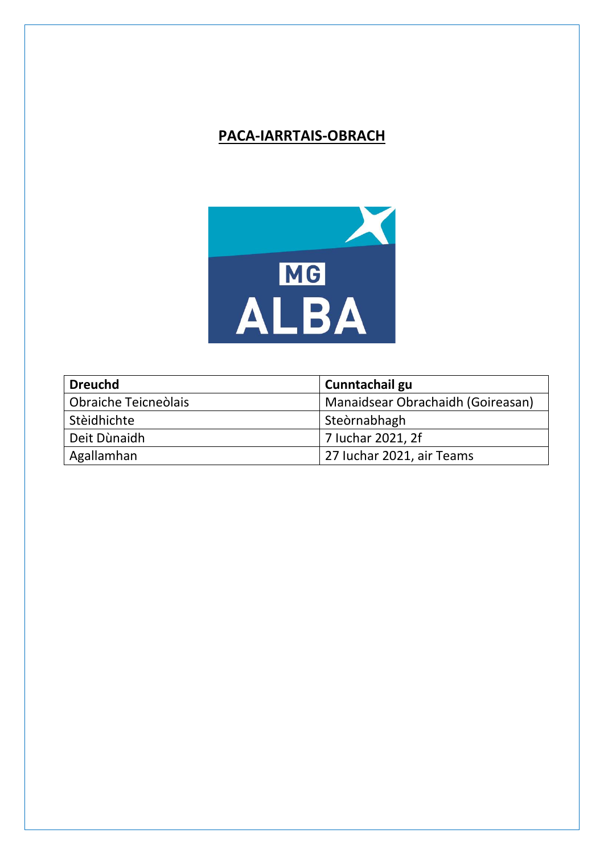# **PACA-IARRTAIS-OBRACH**



| <b>Dreuchd</b>       | Cunntachail gu                    |
|----------------------|-----------------------------------|
| Obraiche Teicneòlais | Manaidsear Obrachaidh (Goireasan) |
| Stèidhichte          | Steòrnabhagh                      |
| Deit Dùnaidh         | 7 Iuchar 2021, 2f                 |
| Agallamhan           | 27 Iuchar 2021, air Teams         |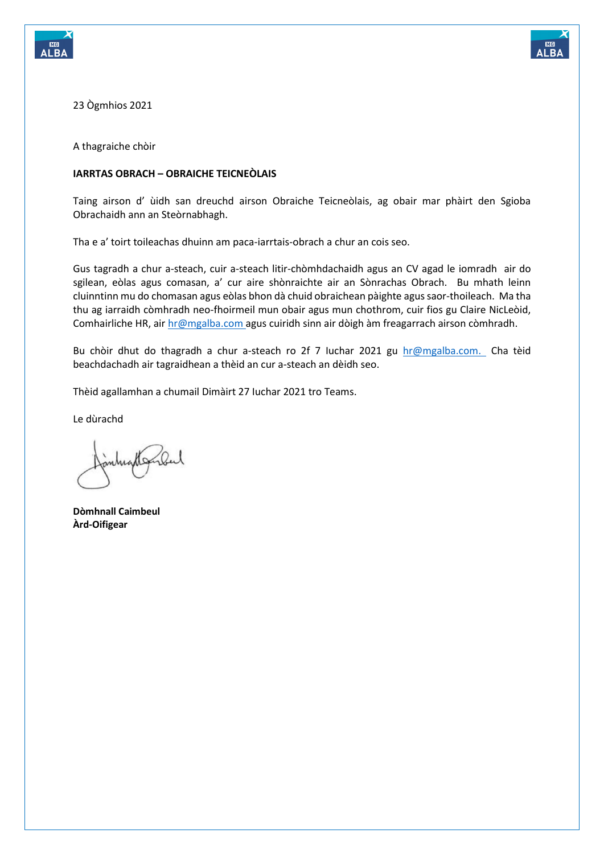



23 Ògmhios 2021

A thagraiche chòir

### **IARRTAS OBRACH – OBRAICHE TEICNEÒLAIS**

Taing airson d' ùidh san dreuchd airson Obraiche Teicneòlais, ag obair mar phàirt den Sgioba Obrachaidh ann an Steòrnabhagh.

Tha e a' toirt toileachas dhuinn am paca-iarrtais-obrach a chur an cois seo.

Gus tagradh a chur a-steach, cuir a-steach litir-chòmhdachaidh agus an CV agad le iomradh air do sgilean, eòlas agus comasan, a' cur aire shònraichte air an Sònrachas Obrach. Bu mhath leinn cluinntinn mu do chomasan agus eòlas bhon dà chuid obraichean pàighte agus saor-thoileach. Ma tha thu ag iarraidh còmhradh neo-fhoirmeil mun obair agus mun chothrom, cuir fios gu Claire NicLeòid, Comhairliche HR, ai[r hr@mgalba.com](mailto:hr@mgalba.com) agus cuiridh sinn air dòigh àm freagarrach airson còmhradh.

Bu chòir dhut do thagradh a chur a-steach ro 2f 7 Iuchar 2021 gu [hr@mgalba.com.](mailto:hr@mgalba.com) Cha tèid beachdachadh air tagraidhean a thèid an cur a-steach an dèidh seo.

Thèid agallamhan a chumail Dimàirt 27 Iuchar 2021 tro Teams.

Le dùrachd

**Dòmhnall Caimbeul Àrd-Oifigear**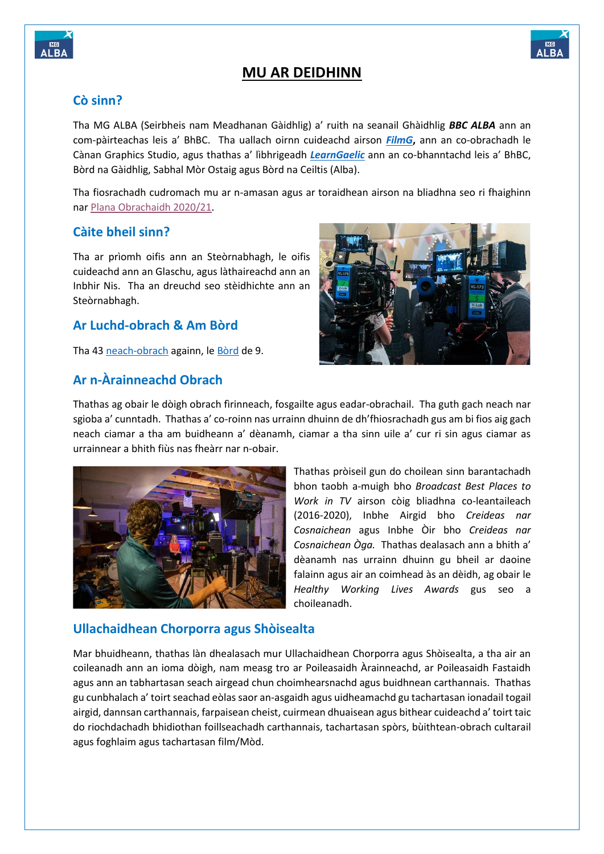



## **MU AR DEIDHINN**

### **Cò sinn?**

Tha MG ALBA (Seirbheis nam Meadhanan Gàidhlig) a' ruith na seanail Ghàidhlig *BBC ALBA* ann an com-pàirteachas leis a' BhBC. Tha uallach oirnn cuideachd airson *[FilmG](http://filmg.co.uk/gd/)***,** ann an co-obrachadh le Cànan Graphics Studio, agus thathas a' lìbhrigeadh *[LearnGaelic](https://learngaelic.scot/)* ann an co-bhanntachd leis a' BhBC, Bòrd na Gàidhlig, Sabhal Mòr Ostaig agus Bòrd na Ceiltis (Alba).

Tha fiosrachadh cudromach mu ar n-amasan agus ar toraidhean airson na bliadhna seo ri fhaighinn nar [Plana Obrachaidh 2020/21.](https://mgalba.com/wp-content/uploads/2020/12/operational-plan-2020-21.pdf)

### **Càite bheil sinn?**

Tha ar prìomh oifis ann an Steòrnabhagh, le oifis cuideachd ann an Glaschu, agus làthaireachd ann an Inbhir Nis. Tha an dreuchd seo stèidhichte ann an Steòrnabhagh.

### **Ar Luchd-obrach & Am Bòrd**

Tha 4[3 neach-obrach](http://www.mgalba.com/about/corporate/staff/staff.html) againn, le [Bòrd](http://www.mgalba.com/about/corporate/board/board-members.html) de 9.

### **Ar n-Àrainneachd Obrach**



Thathas ag obair le dòigh obrach fìrinneach, fosgailte agus eadar-obrachail. Tha guth gach neach nar sgioba a' cunntadh. Thathas a' co-roinn nas urrainn dhuinn de dh'fhiosrachadh gus am bi fios aig gach neach ciamar a tha am buidheann a' dèanamh, ciamar a tha sinn uile a' cur ri sin agus ciamar as urrainnear a bhith fiùs nas fheàrr nar n-obair.



Thathas pròiseil gun do choilean sinn barantachadh bhon taobh a-muigh bho *Broadcast Best Places to Work in TV* airson còig bliadhna co-leantaileach (2016-2020), Inbhe Airgid bho *Creideas nar Cosnaichean* agus Inbhe Òir bho *Creideas nar Cosnaichean Òga.* Thathas dealasach ann a bhith a' dèanamh nas urrainn dhuinn gu bheil ar daoine falainn agus air an coimhead às an dèidh, ag obair le *Healthy Working Lives Awards* gus seo a choileanadh.

### **Ullachaidhean Chorporra agus Shòisealta**

Mar bhuidheann, thathas làn dhealasach mur Ullachaidhean Chorporra agus Shòisealta, a tha air an coileanadh ann an ioma dòigh, nam measg tro ar Poileasaidh Àrainneachd, ar Poileasaidh Fastaidh agus ann an tabhartasan seach airgead chun choimhearsnachd agus buidhnean carthannais. Thathas gu cunbhalach a' toirt seachad eòlas saor an-asgaidh agus uidheamachd gu tachartasan ionadail togail airgid, dannsan carthannais, farpaisean cheist, cuirmean dhuaisean agus bithear cuideachd a' toirt taic do riochdachadh bhidiothan foillseachadh carthannais, tachartasan spòrs, bùithtean-obrach cultarail agus foghlaim agus tachartasan film/Mòd.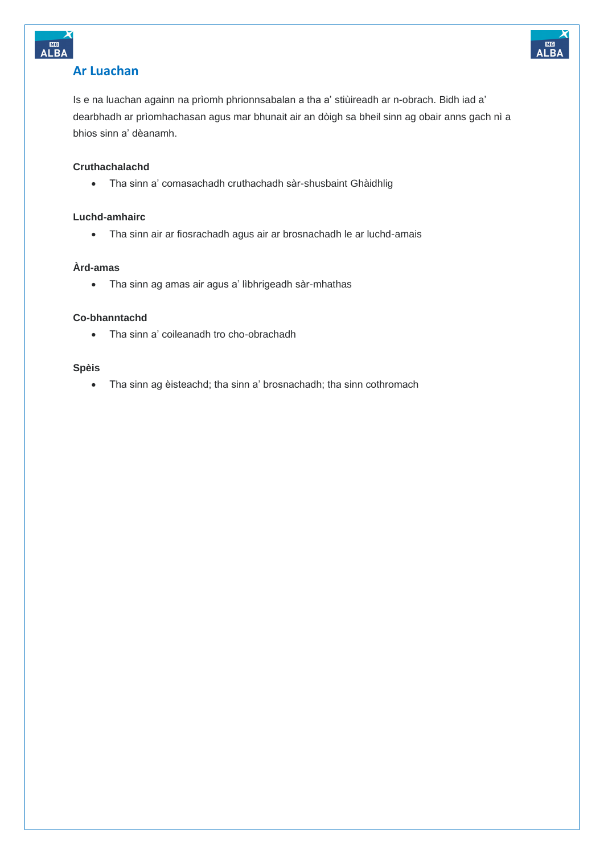

### **Ar Luachan**

Is e na luachan againn na prìomh phrionnsabalan a tha a' stiùireadh ar n-obrach. Bidh iad a' dearbhadh ar prìomhachasan agus mar bhunait air an dòigh sa bheil sinn ag obair anns gach nì a bhios sinn a' dèanamh.

### **Cruthachalachd**

• Tha sinn a' comasachadh cruthachadh sàr-shusbaint Ghàidhlig

### **Luchd-amhairc**

• Tha sinn air ar fiosrachadh agus air ar brosnachadh le ar luchd-amais

### **Àrd-amas**

• Tha sinn ag amas air agus a' lìbhrigeadh sàr-mhathas

### **Co-bhanntachd**

• Tha sinn a' coileanadh tro cho-obrachadh

### **Spèis**

• Tha sinn ag èisteachd; tha sinn a' brosnachadh; tha sinn cothromach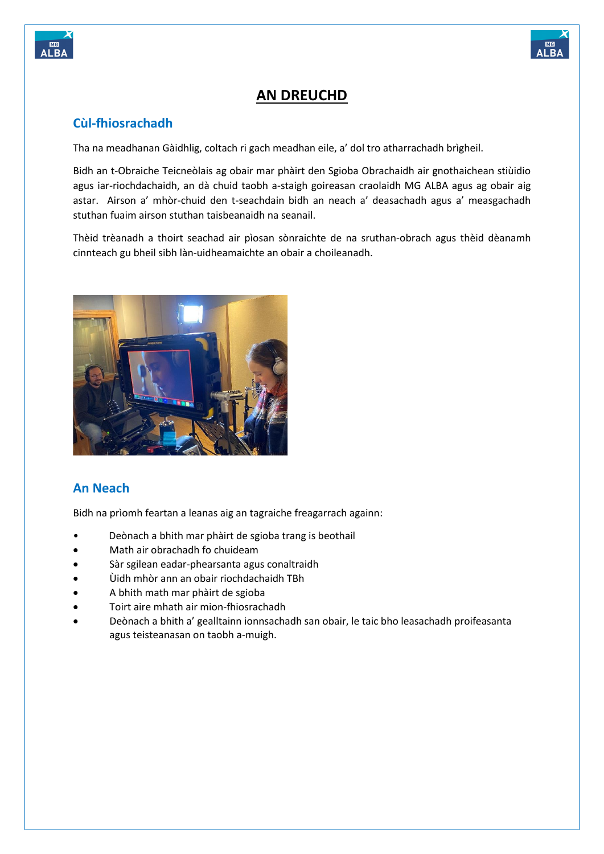



## **AN DREUCHD**

## **Cùl-fhiosrachadh**

Tha na meadhanan Gàidhlig, coltach ri gach meadhan eile, a' dol tro atharrachadh brìgheil.

Bidh an t-Obraiche Teicneòlais ag obair mar phàirt den Sgioba Obrachaidh air gnothaichean stiùidio agus iar-riochdachaidh, an dà chuid taobh a-staigh goireasan craolaidh MG ALBA agus ag obair aig astar. Airson a' mhòr-chuid den t-seachdain bidh an neach a' deasachadh agus a' measgachadh stuthan fuaim airson stuthan taisbeanaidh na seanail.

Thèid trèanadh a thoirt seachad air pìosan sònraichte de na sruthan-obrach agus thèid dèanamh cinnteach gu bheil sibh làn-uidheamaichte an obair a choileanadh.



## **An Neach**

Bidh na prìomh feartan a leanas aig an tagraiche freagarrach againn:

- Deònach a bhith mar phàirt de sgioba trang is beothail
- Math air obrachadh fo chuideam
- Sàr sgilean eadar-phearsanta agus conaltraidh
- Ùidh mhòr ann an obair riochdachaidh TBh
- A bhith math mar phàirt de sgioba
- Toirt aire mhath air mion-fhiosrachadh
- Deònach a bhith a' gealltainn ionnsachadh san obair, le taic bho leasachadh proifeasanta agus teisteanasan on taobh a-muigh.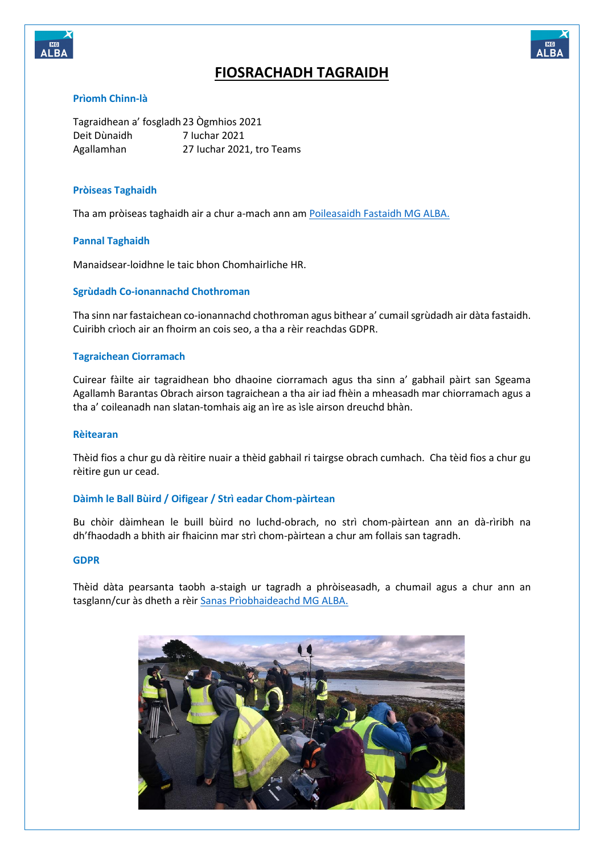



## **FIOSRACHADH TAGRAIDH**

### **Prìomh Chinn-là**

Tagraidhean a' fosgladh23 Ògmhios 2021 Deit Dùnaidh 7 Iuchar 2021<br>Agallamhan 27 Iuchar 202 27 Iuchar 2021, tro Teams

### **Pròiseas Taghaidh**

Tha am pròiseas taghaidh air a chur a-mach ann am [Poileasaidh Fastaidh MG ALBA.](https://mgalba.com/wp-content/uploads/2020/12/recruitment-salary-structures-policy-1218.pdf)

### **Pannal Taghaidh**

Manaidsear-loidhne le taic bhon Chomhairliche HR.

### **Sgrùdadh Co-ionannachd Chothroman**

Tha sinn nar fastaichean co-ionannachd chothroman agus bithear a' cumail sgrùdadh air dàta fastaidh. Cuiribh crìoch air an fhoirm an cois seo, a tha a rèir reachdas GDPR.

### **Tagraichean Ciorramach**

Cuirear fàilte air tagraidhean bho dhaoine ciorramach agus tha sinn a' gabhail pàirt san Sgeama Agallamh Barantas Obrach airson tagraichean a tha air iad fhèin a mheasadh mar chiorramach agus a tha a' coileanadh nan slatan-tomhais aig an ìre as ìsle airson dreuchd bhàn.

### **Rèitearan**

Thèid fios a chur gu dà rèitire nuair a thèid gabhail ri tairgse obrach cumhach. Cha tèid fios a chur gu rèitire gun ur cead.

### **Dàimh le Ball Bùird / Oifigear / Strì eadar Chom-pàirtean**

Bu chòir dàimhean le buill bùird no luchd-obrach, no strì chom-pàirtean ann an dà-rìribh na dh'fhaodadh a bhith air fhaicinn mar strì chom-pàirtean a chur am follais san tagradh.

#### **GDPR**

Thèid dàta pearsanta taobh a-staigh ur tagradh a phròiseasadh, a chumail agus a chur ann an tasglann/cur às dheth a rèi[r Sanas Prìobhaideachd MG ALBA.](https://mgalba.com/homepage/privacy-cookies/?lang=en)

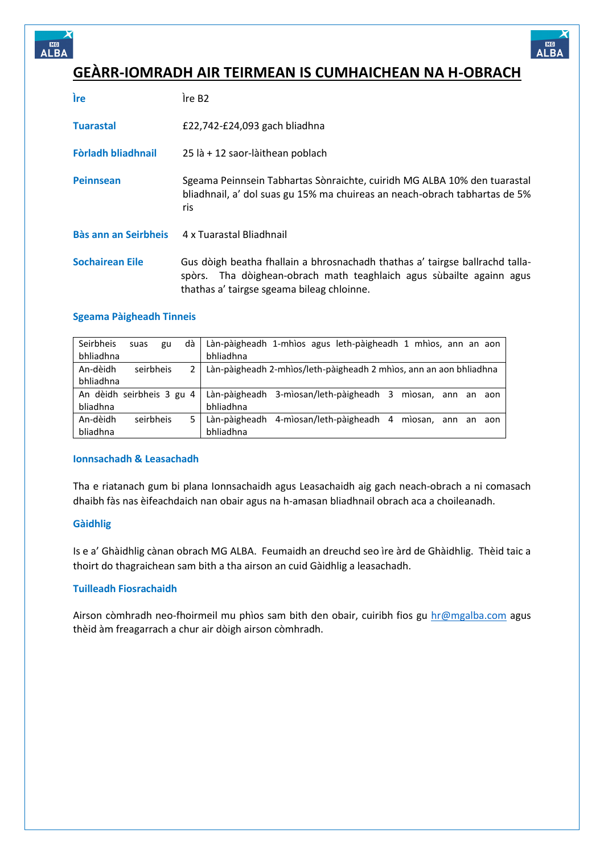



## **GEÀRR-IOMRADH AIR TEIRMEAN IS CUMHAICHEAN NA H-OBRACH**

| <b>ire</b>                  | Ire B <sub>2</sub>                                                                                                                                                                                 |
|-----------------------------|----------------------------------------------------------------------------------------------------------------------------------------------------------------------------------------------------|
| <b>Tuarastal</b>            | £22,742-£24,093 gach bliadhna                                                                                                                                                                      |
| Fòrladh bliadhnail          | 25 là + 12 saor-làithean poblach                                                                                                                                                                   |
| <b>Peinnsean</b>            | Sgeama Peinnsein Tabhartas Sònraichte, cuiridh MG ALBA 10% den tuarastal<br>bliadhnail, a' dol suas gu 15% ma chuireas an neach-obrach tabhartas de 5%<br>ris                                      |
| <b>Bàs ann an Seirbheis</b> | 4 x Tuarastal Bliadhnail                                                                                                                                                                           |
| <b>Sochairean Eile</b>      | Gus dòigh beatha fhallain a bhrosnachadh thathas a' tairgse ballrachd talla-<br>spòrs. Tha dòighean-obrach math teaghlaich agus sùbailte againn agus<br>thathas a' tairgse sgeama bileag chloinne. |

### **Sgeama Pàigheadh Tinneis**

| Seirbheis<br>bhliadhna    | suas      | gu | dà | bhliadhna     | Làn-pàigheadh 1-mhìos agus leth-pàigheadh 1 mhìos, ann an aon      |
|---------------------------|-----------|----|----|---------------|--------------------------------------------------------------------|
| An-dèidh                  | seirbheis |    | 2  |               | Làn-pàigheadh 2-mhìos/leth-pàigheadh 2 mhìos, ann an aon bhliadhna |
| bhliadhna                 |           |    |    |               |                                                                    |
| An dèidh seirbheis 3 gu 4 |           |    |    |               | Làn-pàigheadh 3-mìosan/leth-pàigheadh 3<br>mìosan, ann an<br>aon   |
| bliadhna                  |           |    |    | bhliadhna     |                                                                    |
| An-dèidh                  | seirbheis |    | 5. | Làn-pàigheadh | 4-mìosan/leth-pàigheadh 4<br>mìosan, ann an<br>aon                 |
| bliadhna                  |           |    |    | bhliadhna     |                                                                    |

### **Ionnsachadh & Leasachadh**

Tha e riatanach gum bi plana Ionnsachaidh agus Leasachaidh aig gach neach-obrach a ni comasach dhaibh fàs nas èifeachdaich nan obair agus na h-amasan bliadhnail obrach aca a choileanadh.

### **Gàidhlig**

Is e a' Ghàidhlig cànan obrach MG ALBA. Feumaidh an dreuchd seo ìre àrd de Ghàidhlig. Thèid taic a thoirt do thagraichean sam bith a tha airson an cuid Gàidhlig a leasachadh.

### **Tuilleadh Fiosrachaidh**

Airson còmhradh neo-fhoirmeil mu phìos sam bith den obair, cuiribh fios gu [hr@mgalba.com](mailto:hr@mgalba.com) agus thèid àm freagarrach a chur air dòigh airson còmhradh.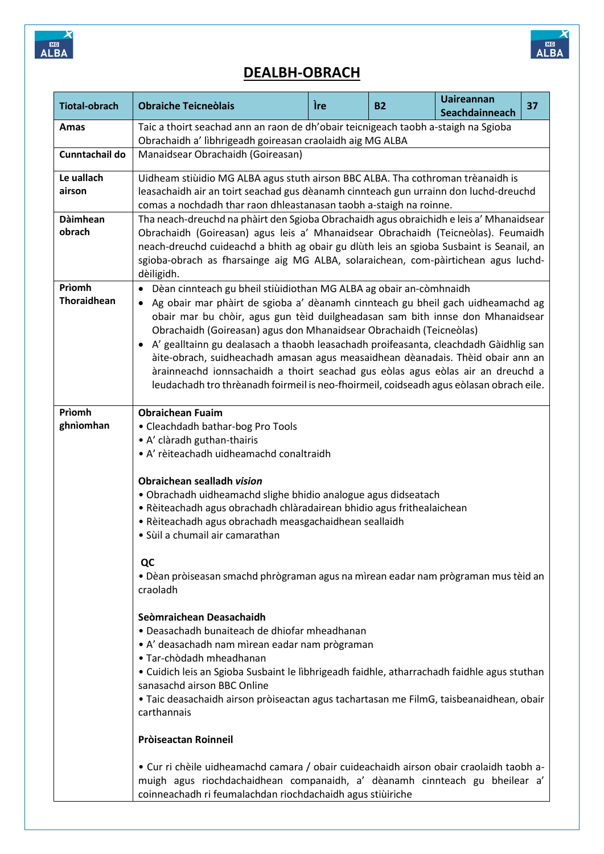



# **DEALBH-OBRACH**

| <b>Tiotal-obrach</b>         | <b>Obraiche Teicneolais</b>                                                                                                                                                                                                                                                                                                                                                                                                                                                                                                                                                                                                                                                                                                                                                                                                                                                                                                                                                                                                                  | Ìre | <b>B2</b> | <b>Uaireannan</b><br>Seachdainneach | 37 |
|------------------------------|----------------------------------------------------------------------------------------------------------------------------------------------------------------------------------------------------------------------------------------------------------------------------------------------------------------------------------------------------------------------------------------------------------------------------------------------------------------------------------------------------------------------------------------------------------------------------------------------------------------------------------------------------------------------------------------------------------------------------------------------------------------------------------------------------------------------------------------------------------------------------------------------------------------------------------------------------------------------------------------------------------------------------------------------|-----|-----------|-------------------------------------|----|
| Amas                         | Taic a thoirt seachad ann an raon de dh'obair teicnigeach taobh a-staigh na Sgioba<br>Obrachaidh a' lìbhrigeadh goireasan craolaidh aig MG ALBA                                                                                                                                                                                                                                                                                                                                                                                                                                                                                                                                                                                                                                                                                                                                                                                                                                                                                              |     |           |                                     |    |
| Cunntachail do               | Manaidsear Obrachaidh (Goireasan)                                                                                                                                                                                                                                                                                                                                                                                                                                                                                                                                                                                                                                                                                                                                                                                                                                                                                                                                                                                                            |     |           |                                     |    |
| Le uallach<br>airson         | Uidheam stiùidio MG ALBA agus stuth airson BBC ALBA. Tha cothroman trèanaidh is<br>leasachaidh air an toirt seachad gus dèanamh cinnteach gun urrainn don luchd-dreuchd<br>comas a nochdadh thar raon dhleastanasan taobh a-staigh na roinne.                                                                                                                                                                                                                                                                                                                                                                                                                                                                                                                                                                                                                                                                                                                                                                                                |     |           |                                     |    |
| <b>Dàimhean</b><br>obrach    | Tha neach-dreuchd na phàirt den Sgioba Obrachaidh agus obraichidh e leis a' Mhanaidsear<br>Obrachaidh (Goireasan) agus leis a' Mhanaidsear Obrachaidh (Teicneòlas). Feumaidh<br>neach-dreuchd cuideachd a bhith ag obair gu dlùth leis an sgioba Susbaint is Seanail, an<br>sgioba-obrach as fharsainge aig MG ALBA, solaraichean, com-pàirtichean agus luchd-<br>dèiligidh.                                                                                                                                                                                                                                                                                                                                                                                                                                                                                                                                                                                                                                                                 |     |           |                                     |    |
| Prìomh<br><b>Thoraidhean</b> | Dèan cinnteach gu bheil stiùidiothan MG ALBA ag obair an-còmhnaidh<br>٠<br>Ag obair mar phàirt de sgioba a' dèanamh cinnteach gu bheil gach uidheamachd ag<br>obair mar bu chòir, agus gun tèid duilgheadasan sam bith innse don Mhanaidsear<br>Obrachaidh (Goireasan) agus don Mhanaidsear Obrachaidh (Teicneòlas)<br>A' gealltainn gu dealasach a thaobh leasachadh proifeasanta, cleachdadh Gàidhlig san<br>$\bullet$<br>àite-obrach, suidheachadh amasan agus measaidhean dèanadais. Thèid obair ann an<br>àrainneachd ionnsachaidh a thoirt seachad gus eòlas agus eòlas air an dreuchd a<br>leudachadh tro thrèanadh foirmeil is neo-fhoirmeil, coidseadh agus eòlasan obrach eile.                                                                                                                                                                                                                                                                                                                                                    |     |           |                                     |    |
| Prìomh<br>ghnìomhan          | <b>Obraichean Fuaim</b><br>• Cleachdadh bathar-bog Pro Tools<br>• A' clàradh guthan-thairis<br>• A' rèiteachadh uidheamachd conaltraidh<br>Obraichean sealladh vision<br>• Obrachadh uidheamachd slighe bhidio analogue agus didseatach<br>• Rèiteachadh agus obrachadh chlàradairean bhidio agus frithealaichean<br>• Rèiteachadh agus obrachadh measgachaidhean seallaidh<br>· Sùil a chumail air camarathan<br>QC<br>. Dèan pròiseasan smachd phrògraman agus na mìrean eadar nam prògraman mus tèid an<br>craoladh<br>Seòmraichean Deasachaidh<br>· Deasachadh bunaiteach de dhiofar mheadhanan<br>• A' deasachadh nam mìrean eadar nam prògraman<br>• Tar-chòdadh mheadhanan<br>• Cuidich leis an Sgioba Susbaint le lìbhrigeadh faidhle, atharrachadh faidhle agus stuthan<br>sanasachd airson BBC Online<br>• Taic deasachaidh airson pròiseactan agus tachartasan me FilmG, taisbeanaidhean, obair<br>carthannais<br>Pròiseactan Roinneil<br>• Cur ri chèile uidheamachd camara / obair cuideachaidh airson obair craolaidh taobh a- |     |           |                                     |    |
|                              | muigh agus riochdachaidhean companaidh, a' dèanamh cinnteach gu bheilear a'<br>coinneachadh ri feumalachdan riochdachaidh agus stiùiriche                                                                                                                                                                                                                                                                                                                                                                                                                                                                                                                                                                                                                                                                                                                                                                                                                                                                                                    |     |           |                                     |    |